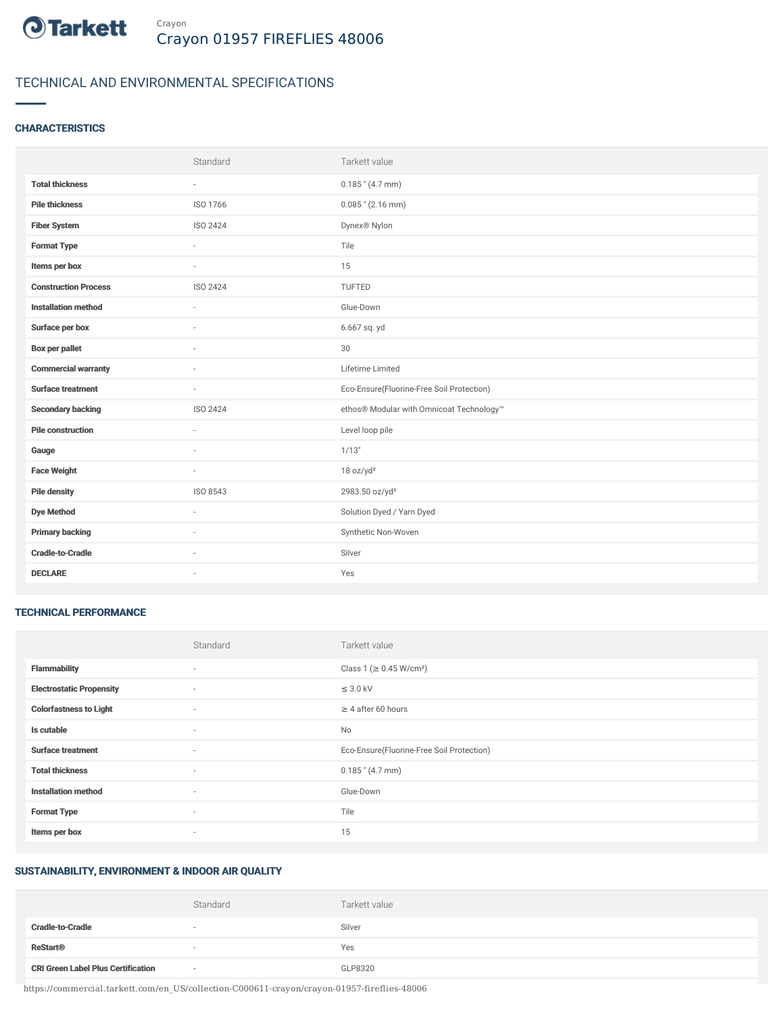

# TECHNICAL AND ENVIRONMENTAL SPECIFICATIONS

### **CHARACTERISTICS**

|                             | Standard                 | Tarkett value                             |
|-----------------------------|--------------------------|-------------------------------------------|
| <b>Total thickness</b>      | $\overline{\phantom{a}}$ | $0.185$ " (4.7 mm)                        |
| <b>Pile thickness</b>       | ISO 1766                 | $0.085$ " (2.16 mm)                       |
| <b>Fiber System</b>         | ISO 2424                 | Dynex <sup>®</sup> Nylon                  |
| <b>Format Type</b>          | $\sim$                   | Tile                                      |
| Items per box               | $\sim$                   | 15                                        |
| <b>Construction Process</b> | ISO 2424                 | TUFTED                                    |
| <b>Installation method</b>  | $\sim$                   | Glue-Down                                 |
| Surface per box             | $\sim$                   | 6.667 sq. yd                              |
| <b>Box per pallet</b>       | $\overline{\phantom{a}}$ | 30                                        |
| <b>Commercial warranty</b>  |                          | Lifetime Limited                          |
| <b>Surface treatment</b>    | $\sim$                   | Eco-Ensure(Fluorine-Free Soil Protection) |
| <b>Secondary backing</b>    | ISO 2424                 | ethos® Modular with Omnicoat Technology™  |
| <b>Pile construction</b>    | $\sim$                   | Level loop pile                           |
| Gauge                       |                          | 1/13"                                     |
| <b>Face Weight</b>          | $\overline{\phantom{a}}$ | 18 oz/yd <sup>2</sup>                     |
| <b>Pile density</b>         | ISO 8543                 | 2983.50 oz/yd <sup>3</sup>                |
| <b>Dye Method</b>           | $\sim$                   | Solution Dyed / Yarn Dyed                 |
| <b>Primary backing</b>      |                          | Synthetic Non-Woven                       |
| <b>Cradle-to-Cradle</b>     | $\sim$                   | Silver                                    |
| <b>DECLARE</b>              | ٠                        | Yes                                       |

### TECHNICAL PERFORMANCE

|                                 | Standard                 | Tarkett value                             |
|---------------------------------|--------------------------|-------------------------------------------|
| <b>Flammability</b>             | $\sim$                   | Class 1 (≥ 0.45 W/cm <sup>2</sup> )       |
| <b>Electrostatic Propensity</b> | $\sim$                   | $\leq$ 3.0 kV                             |
| <b>Colorfastness to Light</b>   | $\sim$                   | $\geq$ 4 after 60 hours                   |
| Is cutable                      | $\sim$                   | <b>No</b>                                 |
| <b>Surface treatment</b>        | $\overline{\phantom{a}}$ | Eco-Ensure(Fluorine-Free Soil Protection) |
| <b>Total thickness</b>          | $\sim$                   | $0.185$ " (4.7 mm)                        |
| <b>Installation method</b>      | $\sim$                   | Glue-Down                                 |
| <b>Format Type</b>              | $\sim$                   | Tile                                      |
| Items per box                   | $\sim$                   | 15                                        |

# SUSTAINABILITY, ENVIRONMENT & INDOOR AIR QUALITY

|                                           | Standard | Tarkett value |
|-------------------------------------------|----------|---------------|
| <b>Cradle-to-Cradle</b>                   | $\sim$   | Silver        |
| <b>ReStart®</b>                           | $\sim$   | Yes           |
| <b>CRI Green Label Plus Certification</b> | $\sim$   | GLP8320       |

https://commercial.tarkett.com/en\_US/collection-C000611-crayon/crayon-01957-fireflies-48006